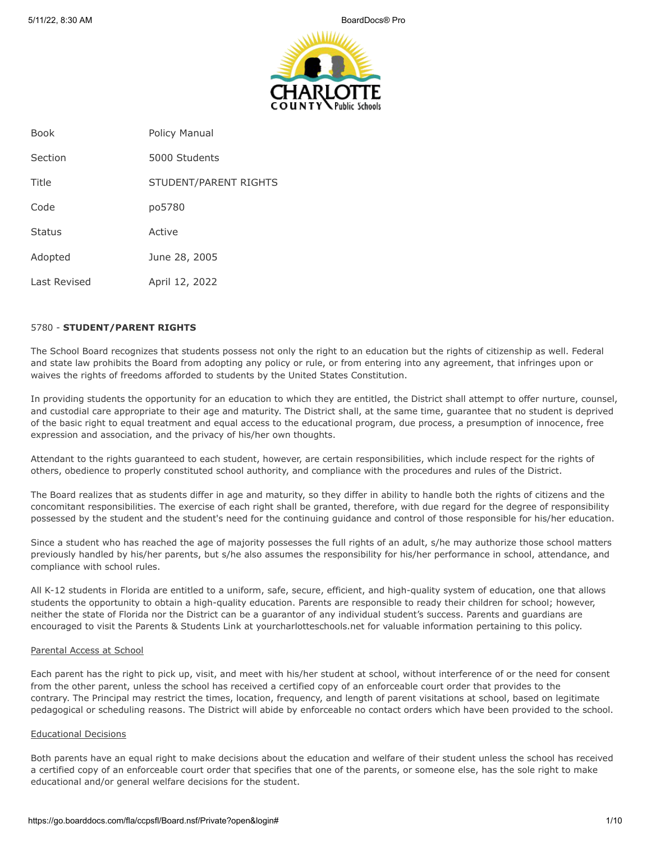

| <b>Book</b>   | Policy Manual         |
|---------------|-----------------------|
| Section       | 5000 Students         |
| Title         | STUDENT/PARENT RIGHTS |
| Code          | po5780                |
| <b>Status</b> | Active                |
| Adopted       | June 28, 2005         |
| Last Revised  | April 12, 2022        |

#### 5780 - **STUDENT/PARENT RIGHTS**

The School Board recognizes that students possess not only the right to an education but the rights of citizenship as well. Federal and state law prohibits the Board from adopting any policy or rule, or from entering into any agreement, that infringes upon or waives the rights of freedoms afforded to students by the United States Constitution.

In providing students the opportunity for an education to which they are entitled, the District shall attempt to offer nurture, counsel, and custodial care appropriate to their age and maturity. The District shall, at the same time, guarantee that no student is deprived of the basic right to equal treatment and equal access to the educational program, due process, a presumption of innocence, free expression and association, and the privacy of his/her own thoughts.

Attendant to the rights guaranteed to each student, however, are certain responsibilities, which include respect for the rights of others, obedience to properly constituted school authority, and compliance with the procedures and rules of the District.

The Board realizes that as students differ in age and maturity, so they differ in ability to handle both the rights of citizens and the concomitant responsibilities. The exercise of each right shall be granted, therefore, with due regard for the degree of responsibility possessed by the student and the student's need for the continuing guidance and control of those responsible for his/her education.

Since a student who has reached the age of majority possesses the full rights of an adult, s/he may authorize those school matters previously handled by his/her parents, but s/he also assumes the responsibility for his/her performance in school, attendance, and compliance with school rules.

All K-12 students in Florida are entitled to a uniform, safe, secure, efficient, and high-quality system of education, one that allows students the opportunity to obtain a high-quality education. Parents are responsible to ready their children for school; however, neither the state of Florida nor the District can be a guarantor of any individual student's success. Parents and guardians are encouraged to visit the Parents & Students Link at yourcharlotteschools.net for valuable information pertaining to this policy.

#### Parental Access at School

Each parent has the right to pick up, visit, and meet with his/her student at school, without interference of or the need for consent from the other parent, unless the school has received a certified copy of an enforceable court order that provides to the contrary. The Principal may restrict the times, location, frequency, and length of parent visitations at school, based on legitimate pedagogical or scheduling reasons. The District will abide by enforceable no contact orders which have been provided to the school.

#### Educational Decisions

Both parents have an equal right to make decisions about the education and welfare of their student unless the school has received a certified copy of an enforceable court order that specifies that one of the parents, or someone else, has the sole right to make educational and/or general welfare decisions for the student.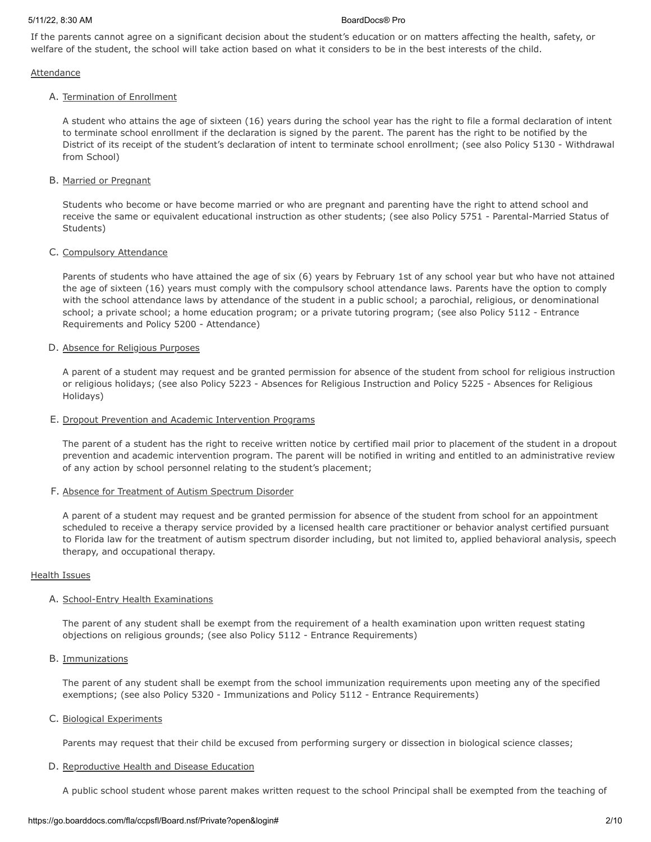If the parents cannot agree on a significant decision about the student's education or on matters affecting the health, safety, or welfare of the student, the school will take action based on what it considers to be in the best interests of the child.

## **Attendance**

## A. Termination of Enrollment

A student who attains the age of sixteen (16) years during the school year has the right to file a formal declaration of intent to terminate school enrollment if the declaration is signed by the parent. The parent has the right to be notified by the District of its receipt of the student's declaration of intent to terminate school enrollment; (see also Policy 5130 - Withdrawal from School)

## B. Married or Pregnant

Students who become or have become married or who are pregnant and parenting have the right to attend school and receive the same or equivalent educational instruction as other students; (see also Policy 5751 - Parental-Married Status of Students)

## C. Compulsory Attendance

Parents of students who have attained the age of six (6) years by February 1st of any school year but who have not attained the age of sixteen (16) years must comply with the compulsory school attendance laws. Parents have the option to comply with the school attendance laws by attendance of the student in a public school; a parochial, religious, or denominational school; a private school; a home education program; or a private tutoring program; (see also Policy 5112 - Entrance Requirements and Policy 5200 - Attendance)

## D. Absence for Religious Purposes

A parent of a student may request and be granted permission for absence of the student from school for religious instruction or religious holidays; (see also Policy 5223 - Absences for Religious Instruction and Policy 5225 - Absences for Religious Holidays)

### E. Dropout Prevention and Academic Intervention Programs

The parent of a student has the right to receive written notice by certified mail prior to placement of the student in a dropout prevention and academic intervention program. The parent will be notified in writing and entitled to an administrative review of any action by school personnel relating to the student's placement;

## F. Absence for Treatment of Autism Spectrum Disorder

A parent of a student may request and be granted permission for absence of the student from school for an appointment scheduled to receive a therapy service provided by a licensed health care practitioner or behavior analyst certified pursuant to Florida law for the treatment of autism spectrum disorder including, but not limited to, applied behavioral analysis, speech therapy, and occupational therapy.

#### Health Issues

## A. School-Entry Health Examinations

The parent of any student shall be exempt from the requirement of a health examination upon written request stating objections on religious grounds; (see also Policy 5112 - Entrance Requirements)

### B. Immunizations

The parent of any student shall be exempt from the school immunization requirements upon meeting any of the specified exemptions; (see also Policy 5320 - Immunizations and Policy 5112 - Entrance Requirements)

#### C. Biological Experiments

Parents may request that their child be excused from performing surgery or dissection in biological science classes;

#### D. Reproductive Health and Disease Education

A public school student whose parent makes written request to the school Principal shall be exempted from the teaching of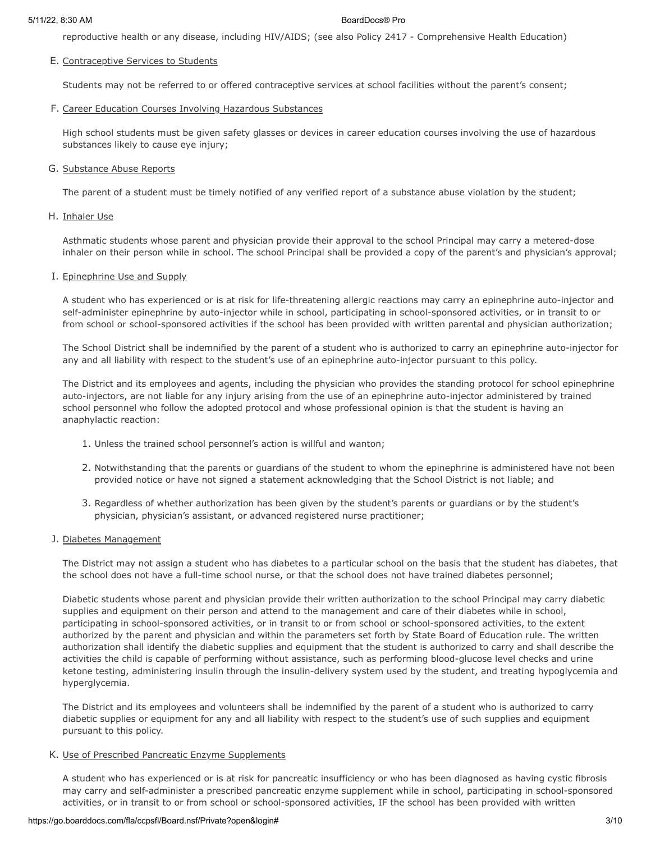reproductive health or any disease, including HIV/AIDS; (see also Policy 2417 - Comprehensive Health Education)

## E. Contraceptive Services to Students

Students may not be referred to or offered contraceptive services at school facilities without the parent's consent;

#### F. Career Education Courses Involving Hazardous Substances

High school students must be given safety glasses or devices in career education courses involving the use of hazardous substances likely to cause eye injury;

## G. Substance Abuse Reports

The parent of a student must be timely notified of any verified report of a substance abuse violation by the student;

H. Inhaler Use

Asthmatic students whose parent and physician provide their approval to the school Principal may carry a metered-dose inhaler on their person while in school. The school Principal shall be provided a copy of the parent's and physician's approval;

## I. Epinephrine Use and Supply

A student who has experienced or is at risk for life-threatening allergic reactions may carry an epinephrine auto-injector and self-administer epinephrine by auto-injector while in school, participating in school-sponsored activities, or in transit to or from school or school-sponsored activities if the school has been provided with written parental and physician authorization;

The School District shall be indemnified by the parent of a student who is authorized to carry an epinephrine auto-injector for any and all liability with respect to the student's use of an epinephrine auto-injector pursuant to this policy.

The District and its employees and agents, including the physician who provides the standing protocol for school epinephrine auto-injectors, are not liable for any injury arising from the use of an epinephrine auto-injector administered by trained school personnel who follow the adopted protocol and whose professional opinion is that the student is having an anaphylactic reaction:

- 1. Unless the trained school personnel's action is willful and wanton;
- 2. Notwithstanding that the parents or guardians of the student to whom the epinephrine is administered have not been provided notice or have not signed a statement acknowledging that the School District is not liable; and
- 3. Regardless of whether authorization has been given by the student's parents or guardians or by the student's physician, physician's assistant, or advanced registered nurse practitioner;

#### J. Diabetes Management

The District may not assign a student who has diabetes to a particular school on the basis that the student has diabetes, that the school does not have a full-time school nurse, or that the school does not have trained diabetes personnel;

Diabetic students whose parent and physician provide their written authorization to the school Principal may carry diabetic supplies and equipment on their person and attend to the management and care of their diabetes while in school, participating in school-sponsored activities, or in transit to or from school or school-sponsored activities, to the extent authorized by the parent and physician and within the parameters set forth by State Board of Education rule. The written authorization shall identify the diabetic supplies and equipment that the student is authorized to carry and shall describe the activities the child is capable of performing without assistance, such as performing blood-glucose level checks and urine ketone testing, administering insulin through the insulin-delivery system used by the student, and treating hypoglycemia and hyperglycemia.

The District and its employees and volunteers shall be indemnified by the parent of a student who is authorized to carry diabetic supplies or equipment for any and all liability with respect to the student's use of such supplies and equipment pursuant to this policy.

## K. Use of Prescribed Pancreatic Enzyme Supplements

A student who has experienced or is at risk for pancreatic insufficiency or who has been diagnosed as having cystic fibrosis may carry and self-administer a prescribed pancreatic enzyme supplement while in school, participating in school-sponsored activities, or in transit to or from school or school-sponsored activities, IF the school has been provided with written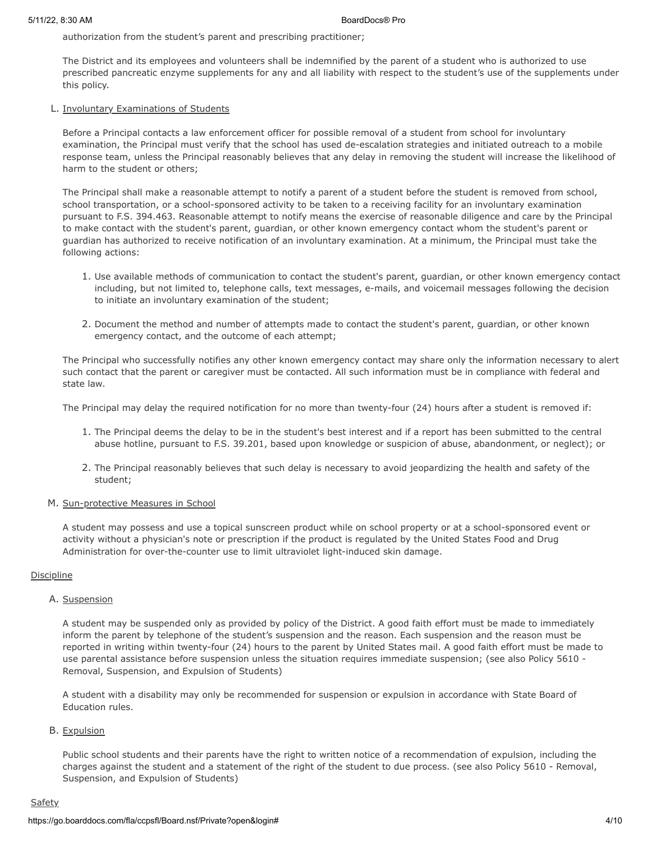authorization from the student's parent and prescribing practitioner;

The District and its employees and volunteers shall be indemnified by the parent of a student who is authorized to use prescribed pancreatic enzyme supplements for any and all liability with respect to the student's use of the supplements under this policy.

## L. Involuntary Examinations of Students

Before a Principal contacts a law enforcement officer for possible removal of a student from school for involuntary examination, the Principal must verify that the school has used de-escalation strategies and initiated outreach to a mobile response team, unless the Principal reasonably believes that any delay in removing the student will increase the likelihood of harm to the student or others;

The Principal shall make a reasonable attempt to notify a parent of a student before the student is removed from school, school transportation, or a school-sponsored activity to be taken to a receiving facility for an involuntary examination pursuant to F.S. 394.463. Reasonable attempt to notify means the exercise of reasonable diligence and care by the Principal to make contact with the student's parent, guardian, or other known emergency contact whom the student's parent or guardian has authorized to receive notification of an involuntary examination. At a minimum, the Principal must take the following actions:

- 1. Use available methods of communication to contact the student's parent, guardian, or other known emergency contact including, but not limited to, telephone calls, text messages, e-mails, and voicemail messages following the decision to initiate an involuntary examination of the student;
- 2. Document the method and number of attempts made to contact the student's parent, guardian, or other known emergency contact, and the outcome of each attempt;

The Principal who successfully notifies any other known emergency contact may share only the information necessary to alert such contact that the parent or caregiver must be contacted. All such information must be in compliance with federal and state law.

The Principal may delay the required notification for no more than twenty-four (24) hours after a student is removed if:

- 1. The Principal deems the delay to be in the student's best interest and if a report has been submitted to the central abuse hotline, pursuant to F.S. 39.201, based upon knowledge or suspicion of abuse, abandonment, or neglect); or
- 2. The Principal reasonably believes that such delay is necessary to avoid jeopardizing the health and safety of the student;

## M. Sun-protective Measures in School

A student may possess and use a topical sunscreen product while on school property or at a school-sponsored event or activity without a physician's note or prescription if the product is regulated by the United States Food and Drug Administration for over-the-counter use to limit ultraviolet light-induced skin damage.

## **Discipline**

## A. Suspension

A student may be suspended only as provided by policy of the District. A good faith effort must be made to immediately inform the parent by telephone of the student's suspension and the reason. Each suspension and the reason must be reported in writing within twenty-four (24) hours to the parent by United States mail. A good faith effort must be made to use parental assistance before suspension unless the situation requires immediate suspension; (see also Policy 5610 - Removal, Suspension, and Expulsion of Students)

A student with a disability may only be recommended for suspension or expulsion in accordance with State Board of Education rules.

## B. Expulsion

Public school students and their parents have the right to written notice of a recommendation of expulsion, including the charges against the student and a statement of the right of the student to due process. (see also Policy 5610 - Removal, Suspension, and Expulsion of Students)

# **Safety**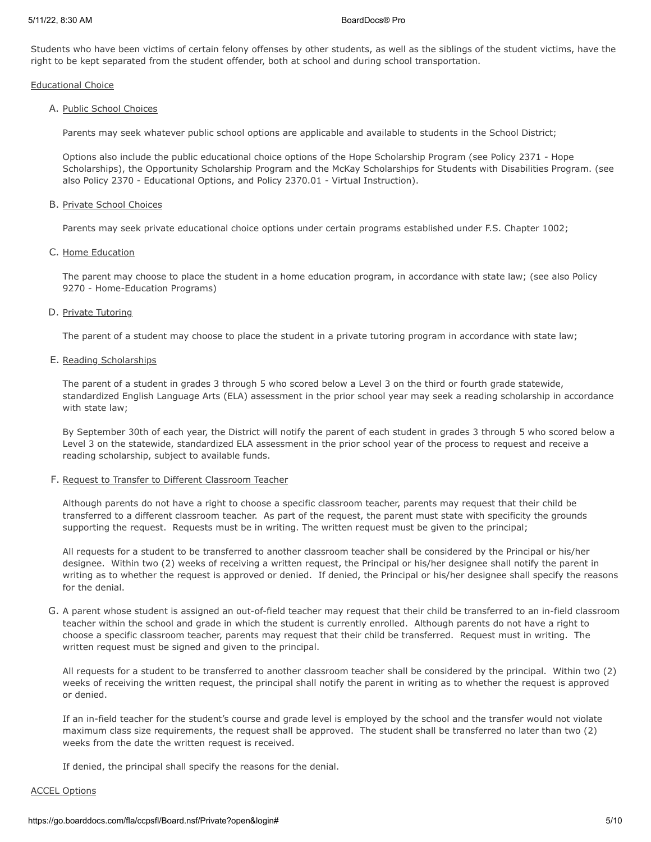Students who have been victims of certain felony offenses by other students, as well as the siblings of the student victims, have the right to be kept separated from the student offender, both at school and during school transportation.

Educational Choice

## A. Public School Choices

Parents may seek whatever public school options are applicable and available to students in the School District;

Options also include the public educational choice options of the Hope Scholarship Program (see Policy 2371 - Hope Scholarships), the Opportunity Scholarship Program and the McKay Scholarships for Students with Disabilities Program. (see also Policy 2370 - Educational Options, and Policy 2370.01 - Virtual Instruction).

## B. Private School Choices

Parents may seek private educational choice options under certain programs established under F.S. Chapter 1002;

## C. Home Education

The parent may choose to place the student in a home education program, in accordance with state law; (see also Policy 9270 - Home-Education Programs)

## D. Private Tutoring

The parent of a student may choose to place the student in a private tutoring program in accordance with state law;

## E. Reading Scholarships

The parent of a student in grades 3 through 5 who scored below a Level 3 on the third or fourth grade statewide, standardized English Language Arts (ELA) assessment in the prior school year may seek a reading scholarship in accordance with state law;

By September 30th of each year, the District will notify the parent of each student in grades 3 through 5 who scored below a Level 3 on the statewide, standardized ELA assessment in the prior school year of the process to request and receive a reading scholarship, subject to available funds.

## F. Request to Transfer to Different Classroom Teacher

Although parents do not have a right to choose a specific classroom teacher, parents may request that their child be transferred to a different classroom teacher. As part of the request, the parent must state with specificity the grounds supporting the request. Requests must be in writing. The written request must be given to the principal;

All requests for a student to be transferred to another classroom teacher shall be considered by the Principal or his/her designee. Within two (2) weeks of receiving a written request, the Principal or his/her designee shall notify the parent in writing as to whether the request is approved or denied. If denied, the Principal or his/her designee shall specify the reasons for the denial.

G. A parent whose student is assigned an out-of-field teacher may request that their child be transferred to an in-field classroom teacher within the school and grade in which the student is currently enrolled. Although parents do not have a right to choose a specific classroom teacher, parents may request that their child be transferred. Request must in writing. The written request must be signed and given to the principal.

All requests for a student to be transferred to another classroom teacher shall be considered by the principal. Within two (2) weeks of receiving the written request, the principal shall notify the parent in writing as to whether the request is approved or denied.

If an in-field teacher for the student's course and grade level is employed by the school and the transfer would not violate maximum class size requirements, the request shall be approved. The student shall be transferred no later than two (2) weeks from the date the written request is received.

If denied, the principal shall specify the reasons for the denial.

#### ACCEL Options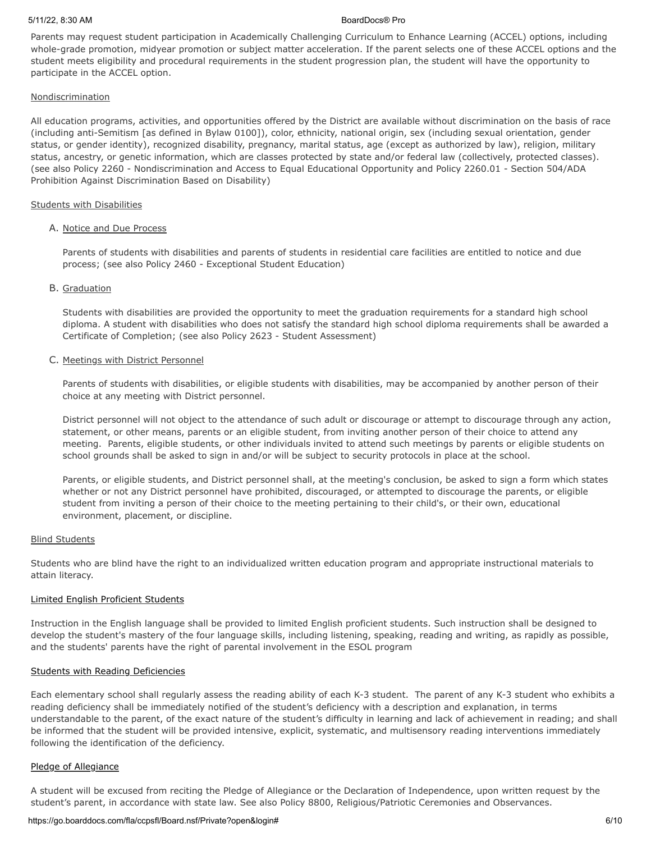#### 5/11/22, 8:30 AM BoardDocs® Pro

Parents may request student participation in Academically Challenging Curriculum to Enhance Learning (ACCEL) options, including whole-grade promotion, midyear promotion or subject matter acceleration. If the parent selects one of these ACCEL options and the student meets eligibility and procedural requirements in the student progression plan, the student will have the opportunity to participate in the ACCEL option.

## **Nondiscrimination**

All education programs, activities, and opportunities offered by the District are available without discrimination on the basis of race (including anti-Semitism [as defined in Bylaw 0100]), color, ethnicity, national origin, sex (including sexual orientation, gender status, or gender identity), recognized disability, pregnancy, marital status, age (except as authorized by law), religion, military status, ancestry, or genetic information, which are classes protected by state and/or federal law (collectively, protected classes). (see also Policy 2260 - Nondiscrimination and Access to Equal Educational Opportunity and Policy 2260.01 - Section 504/ADA Prohibition Against Discrimination Based on Disability)

## Students with Disabilities

## A. Notice and Due Process

Parents of students with disabilities and parents of students in residential care facilities are entitled to notice and due process; (see also Policy 2460 - Exceptional Student Education)

## B. Graduation

Students with disabilities are provided the opportunity to meet the graduation requirements for a standard high school diploma. A student with disabilities who does not satisfy the standard high school diploma requirements shall be awarded a Certificate of Completion; (see also Policy 2623 - Student Assessment)

## C. Meetings with District Personnel

Parents of students with disabilities, or eligible students with disabilities, may be accompanied by another person of their choice at any meeting with District personnel.

District personnel will not object to the attendance of such adult or discourage or attempt to discourage through any action, statement, or other means, parents or an eligible student, from inviting another person of their choice to attend any meeting. Parents, eligible students, or other individuals invited to attend such meetings by parents or eligible students on school grounds shall be asked to sign in and/or will be subject to security protocols in place at the school.

Parents, or eligible students, and District personnel shall, at the meeting's conclusion, be asked to sign a form which states whether or not any District personnel have prohibited, discouraged, or attempted to discourage the parents, or eligible student from inviting a person of their choice to the meeting pertaining to their child's, or their own, educational environment, placement, or discipline.

#### Blind Students

Students who are blind have the right to an individualized written education program and appropriate instructional materials to attain literacy.

## Limited English Proficient Students

Instruction in the English language shall be provided to limited English proficient students. Such instruction shall be designed to develop the student's mastery of the four language skills, including listening, speaking, reading and writing, as rapidly as possible, and the students' parents have the right of parental involvement in the ESOL program

#### Students with Reading Deficiencies

Each elementary school shall regularly assess the reading ability of each K-3 student. The parent of any K-3 student who exhibits a reading deficiency shall be immediately notified of the student's deficiency with a description and explanation, in terms understandable to the parent, of the exact nature of the student's difficulty in learning and lack of achievement in reading; and shall be informed that the student will be provided intensive, explicit, systematic, and multisensory reading interventions immediately following the identification of the deficiency.

## Pledge of Allegiance

A student will be excused from reciting the Pledge of Allegiance or the Declaration of Independence, upon written request by the student's parent, in accordance with state law. See also Policy 8800, Religious/Patriotic Ceremonies and Observances.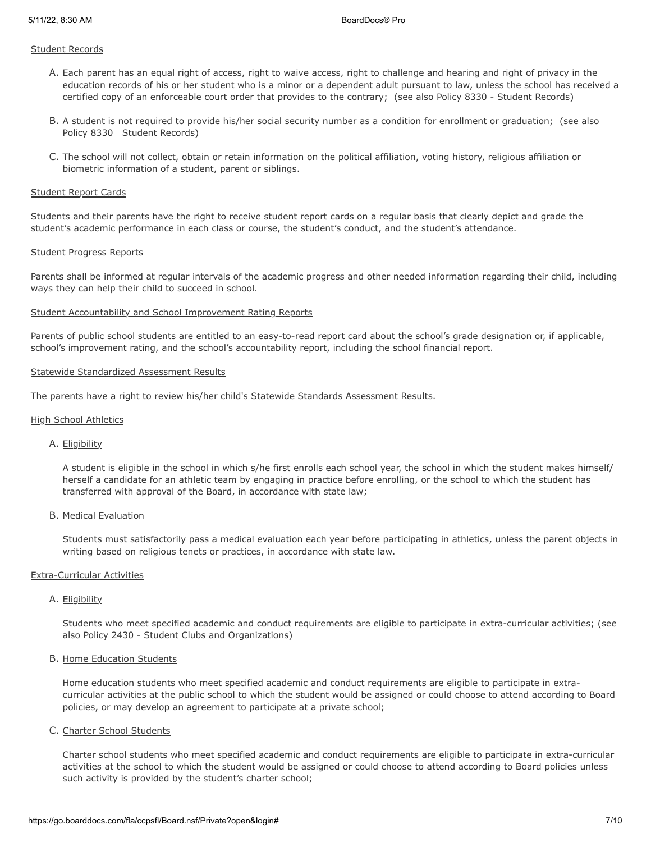### Student Records

- A. Each parent has an equal right of access, right to waive access, right to challenge and hearing and right of privacy in the education records of his or her student who is a minor or a dependent adult pursuant to law, unless the school has received a certified copy of an enforceable court order that provides to the contrary; (see also Policy 8330 - Student Records)
- B. A student is not required to provide his/her social security number as a condition for enrollment or graduation; (see also Policy 8330 Student Records)
- C. The school will not collect, obtain or retain information on the political affiliation, voting history, religious affiliation or biometric information of a student, parent or siblings.

#### Student Report Cards

Students and their parents have the right to receive student report cards on a regular basis that clearly depict and grade the student's academic performance in each class or course, the student's conduct, and the student's attendance.

#### Student Progress Reports

Parents shall be informed at regular intervals of the academic progress and other needed information regarding their child, including ways they can help their child to succeed in school.

#### Student Accountability and School Improvement Rating Reports

Parents of public school students are entitled to an easy-to-read report card about the school's grade designation or, if applicable, school's improvement rating, and the school's accountability report, including the school financial report.

#### Statewide Standardized Assessment Results

The parents have a right to review his/her child's Statewide Standards Assessment Results.

#### High School Athletics

## A. Eligibility

A student is eligible in the school in which s/he first enrolls each school year, the school in which the student makes himself/ herself a candidate for an athletic team by engaging in practice before enrolling, or the school to which the student has transferred with approval of the Board, in accordance with state law;

#### B. Medical Evaluation

Students must satisfactorily pass a medical evaluation each year before participating in athletics, unless the parent objects in writing based on religious tenets or practices, in accordance with state law.

#### Extra-Curricular Activities

#### A. Eligibility

Students who meet specified academic and conduct requirements are eligible to participate in extra-curricular activities; (see also Policy 2430 - Student Clubs and Organizations)

## B. Home Education Students

Home education students who meet specified academic and conduct requirements are eligible to participate in extracurricular activities at the public school to which the student would be assigned or could choose to attend according to Board policies, or may develop an agreement to participate at a private school;

## C. Charter School Students

Charter school students who meet specified academic and conduct requirements are eligible to participate in extra-curricular activities at the school to which the student would be assigned or could choose to attend according to Board policies unless such activity is provided by the student's charter school;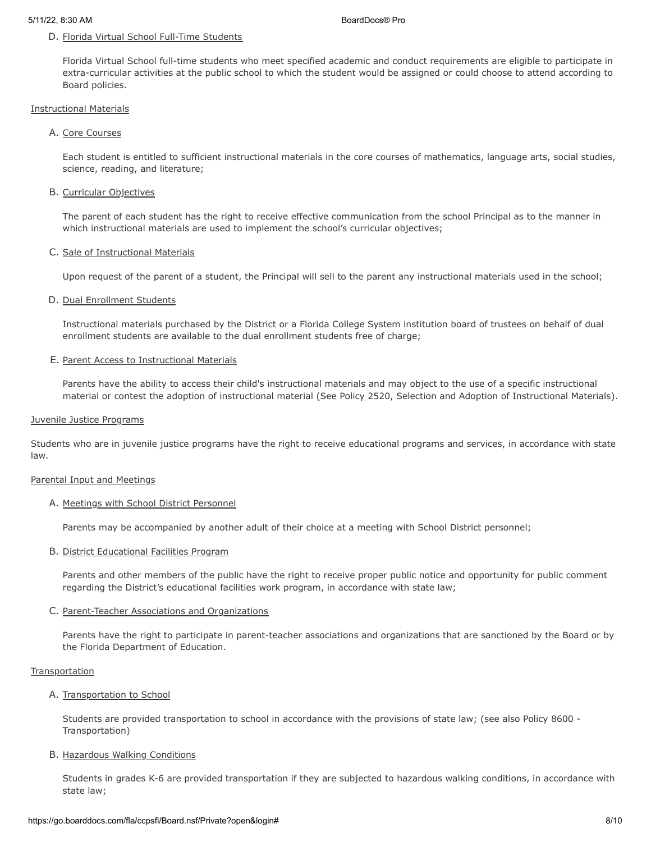### D. Florida Virtual School Full-Time Students

Florida Virtual School full-time students who meet specified academic and conduct requirements are eligible to participate in extra-curricular activities at the public school to which the student would be assigned or could choose to attend according to Board policies.

#### Instructional Materials

## A. Core Courses

Each student is entitled to sufficient instructional materials in the core courses of mathematics, language arts, social studies, science, reading, and literature;

#### B. Curricular Objectives

The parent of each student has the right to receive effective communication from the school Principal as to the manner in which instructional materials are used to implement the school's curricular objectives;

#### C. Sale of Instructional Materials

Upon request of the parent of a student, the Principal will sell to the parent any instructional materials used in the school;

#### D. Dual Enrollment Students

Instructional materials purchased by the District or a Florida College System institution board of trustees on behalf of dual enrollment students are available to the dual enrollment students free of charge;

#### E. Parent Access to Instructional Materials

Parents have the ability to access their child's instructional materials and may object to the use of a specific instructional material or contest the adoption of instructional material (See Policy 2520, Selection and Adoption of Instructional Materials).

#### Juvenile Justice Programs

Students who are in juvenile justice programs have the right to receive educational programs and services, in accordance with state law.

#### Parental Input and Meetings

#### A. Meetings with School District Personnel

Parents may be accompanied by another adult of their choice at a meeting with School District personnel;

#### B. District Educational Facilities Program

Parents and other members of the public have the right to receive proper public notice and opportunity for public comment regarding the District's educational facilities work program, in accordance with state law;

#### C. Parent-Teacher Associations and Organizations

Parents have the right to participate in parent-teacher associations and organizations that are sanctioned by the Board or by the Florida Department of Education.

#### **Transportation**

#### A. Transportation to School

Students are provided transportation to school in accordance with the provisions of state law; (see also Policy 8600 - Transportation)

## B. Hazardous Walking Conditions

Students in grades K-6 are provided transportation if they are subjected to hazardous walking conditions, in accordance with state law;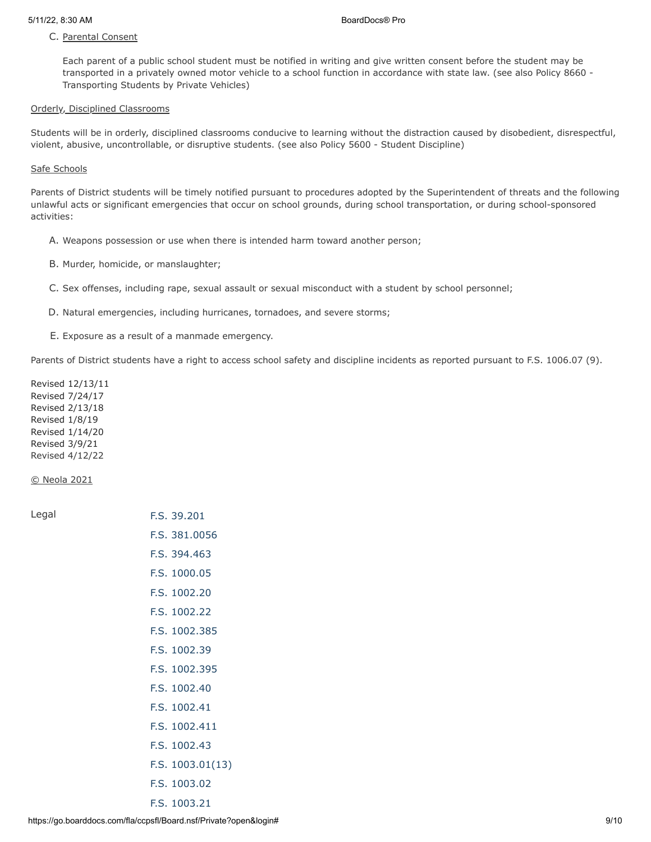# C. Parental Consent

Each parent of a public school student must be notified in writing and give written consent before the student may be transported in a privately owned motor vehicle to a school function in accordance with state law. (see also Policy 8660 - Transporting Students by Private Vehicles)

## Orderly, Disciplined Classrooms

Students will be in orderly, disciplined classrooms conducive to learning without the distraction caused by disobedient, disrespectful, violent, abusive, uncontrollable, or disruptive students. (see also Policy 5600 - Student Discipline)

# Safe Schools

Parents of District students will be timely notified pursuant to procedures adopted by the Superintendent of threats and the following unlawful acts or significant emergencies that occur on school grounds, during school transportation, or during school-sponsored activities:

- A. Weapons possession or use when there is intended harm toward another person;
- B. Murder, homicide, or manslaughter;
- C. Sex offenses, including rape, sexual assault or sexual misconduct with a student by school personnel;
- D. Natural emergencies, including hurricanes, tornadoes, and severe storms;
- E. Exposure as a result of a manmade emergency.

Parents of District students have a right to access school safety and discipline incidents as reported pursuant to F.S. 1006.07 (9).

Revised 12/13/11 Revised 7/24/17 Revised 2/13/18 Revised 1/8/19 Revised 1/14/20 Revised 3/9/21 Revised 4/12/22

© Neola 2021

| Legal | F.S. 39.201      |
|-------|------------------|
|       | F.S. 381,0056    |
|       | F.S. 394.463     |
|       | F.S. 1000.05     |
|       | F.S. 1002.20     |
|       | F.S. 1002.22     |
|       | F.S. 1002.385    |
|       | F.S. 1002.39     |
|       | F.S. 1002.395    |
|       | F.S. 1002.40     |
|       | F.S. 1002.41     |
|       | F.S. 1002.411    |
|       | F.S. 1002.43     |
|       | F.S. 1003.01(13) |
|       | F.S. 1003.02     |
|       | F.S. 1003.21     |